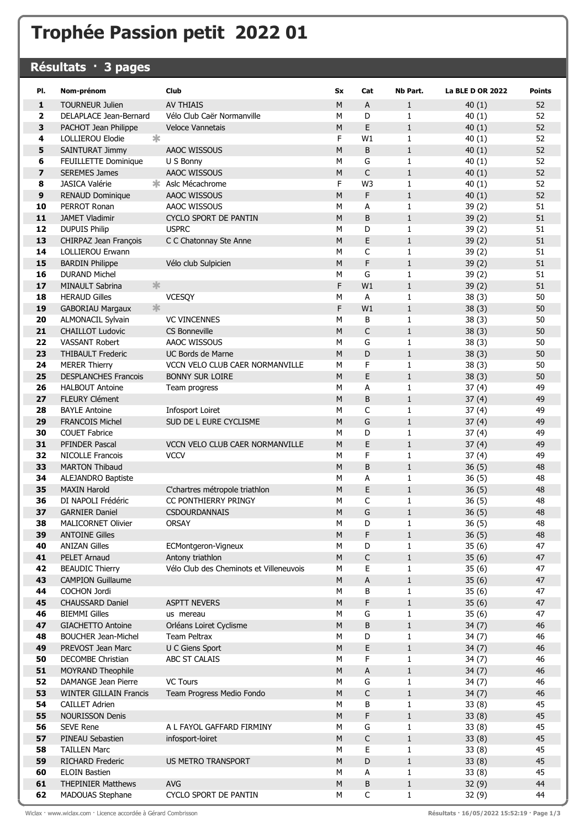## Trophée Passion petit 2022 01

## Résultats · 3 pages

| PI.                     | Nom-prénom                                          | <b>Club</b>                                               | <b>Sx</b>      | Cat         | Nb Part.              | <b>La BLE D OR 2022</b> | <b>Points</b> |
|-------------------------|-----------------------------------------------------|-----------------------------------------------------------|----------------|-------------|-----------------------|-------------------------|---------------|
| 1                       | <b>TOURNEUR Julien</b>                              | <b>AV THIAIS</b>                                          | M              | A           | $\mathbf{1}$          | 40(1)                   | 52            |
| $\overline{\mathbf{2}}$ | DELAPLACE Jean-Bernard                              | Vélo Club Caër Normanville                                | М              | D           | $\mathbf{1}$          | 40(1)                   | 52            |
| 3                       | PACHOT Jean Philippe                                | <b>Veloce Vannetais</b>                                   | M              | E           | $\mathbf{1}$          | 40(1)                   | 52            |
| 4                       | $\ast$<br><b>LOLLIEROU Elodie</b>                   |                                                           | F              | W1          | $\mathbf{1}$          | 40(1)                   | 52            |
| 5                       | SAINTURAT Jimmy                                     | AAOC WISSOUS                                              | M              | B           | $\mathbf{1}$          | 40(1)                   | 52            |
| 6                       | FEUILLETTE Dominique                                | U S Bonny                                                 | М              | G           | $\mathbf{1}$          | 40(1)                   | 52            |
| $\overline{\mathbf{z}}$ | <b>SEREMES James</b>                                | AAOC WISSOUS                                              | M              | $\mathsf C$ | $1\,$                 | 40(1)                   | 52            |
| 8                       | <b>JASICA Valérie</b>                               | * Aslc Mécachrome                                         | F              | W3          | $\mathbf{1}$          | 40(1)                   | 52            |
| 9                       | <b>RENAUD Dominique</b>                             | AAOC WISSOUS                                              | M              | F           | $\mathbf{1}$          | 40(1)                   | 52            |
| 10                      | PERROT Ronan                                        | AAOC WISSOUS                                              | М              | А           | $\mathbf{1}$          | 39(2)                   | 51            |
| 11                      | <b>JAMET Vladimir</b>                               | CYCLO SPORT DE PANTIN                                     | M              | B           | $\mathbf 1$           | 39(2)                   | 51            |
| 12                      | <b>DUPUIS Philip</b>                                | <b>USPRC</b>                                              | М              | D           | $\mathbf{1}$          | 39(2)                   | 51            |
| 13                      | CHIRPAZ Jean François                               | C C Chatonnay Ste Anne                                    | M              | E           | $1\,$                 | 39(2)                   | 51            |
| 14                      | LOLLIEROU Erwann                                    |                                                           | М              | C           | $\mathbf{1}$          | 39(2)                   | 51            |
| 15                      | <b>BARDIN Philippe</b>                              | Vélo club Sulpicien                                       | M              | F           | $\mathbf{1}$          | 39(2)                   | 51            |
| 16                      | <b>DURAND Michel</b>                                |                                                           | М              | G           | $\mathbf{1}$          | 39(2)                   | 51            |
| 17                      | 氺<br>MINAULT Sabrina                                |                                                           | F              | W1          | $\mathbf 1$           | 39(2)                   | 51            |
| 18                      | <b>HERAUD Gilles</b>                                | <b>VCESOY</b>                                             | М              | А           | $\mathbf{1}$          | 38(3)                   | 50            |
| 19                      | 氺<br><b>GABORIAU Margaux</b>                        |                                                           | F              | W1          | $\mathbf{1}$          | 38(3)                   | 50            |
| 20                      | ALMONACIL Sylvain                                   | <b>VC VINCENNES</b>                                       | М              | B           | $\mathbf{1}$          | 38(3)                   | 50            |
| 21                      | <b>CHAILLOT Ludovic</b>                             | <b>CS Bonneville</b>                                      | M              | $\mathsf C$ | $\mathbf{1}$          | 38(3)                   | 50            |
| 22                      | <b>VASSANT Robert</b>                               | AAOC WISSOUS                                              | М              | G           | $\mathbf{1}$          | 38(3)                   | 50            |
| 23                      | <b>THIBAULT Frederic</b>                            | UC Bords de Marne                                         | M              | D           | $\mathbf 1$           | 38(3)                   | 50            |
| 24<br>25                | <b>MERER Thierry</b><br><b>DESPLANCHES Francois</b> | VCCN VELO CLUB CAER NORMANVILLE<br><b>BONNY SUR LOIRE</b> | М<br>M         | F<br>E      | $\mathbf{1}$<br>$1\,$ | 38(3)                   | 50<br>50      |
| 26                      | <b>HALBOUT Antoine</b>                              |                                                           | М              | А           | $\mathbf{1}$          | 38(3)<br>37(4)          | 49            |
| 27                      | <b>FLEURY Clément</b>                               | Team progress                                             | M              | B           | $\mathbf{1}$          | 37(4)                   | 49            |
| 28                      | <b>BAYLE Antoine</b>                                | Infosport Loiret                                          | М              | C           | $\mathbf{1}$          | 37(4)                   | 49            |
| 29                      | <b>FRANCOIS Michel</b>                              | SUD DE L EURE CYCLISME                                    | M              | G           | $\mathbf{1}$          | 37(4)                   | 49            |
| 30                      | <b>COUET Fabrice</b>                                |                                                           | М              | D           | 1                     | 37(4)                   | 49            |
| 31                      | PFINDER Pascal                                      | <b>VCCN VELO CLUB CAER NORMANVILLE</b>                    | M              | E           | $1\,$                 | 37(4)                   | 49            |
| 32                      | <b>NICOLLE Francois</b>                             | <b>VCCV</b>                                               | М              | F           | $\mathbf{1}$          | 37(4)                   | 49            |
| 33                      | <b>MARTON Thibaud</b>                               |                                                           | M              | B           | $\mathbf{1}$          | 36(5)                   | 48            |
| 34                      | ALEJANDRO Baptiste                                  |                                                           | М              | А           | 1                     | 36(5)                   | 48            |
| 35                      | <b>MAXIN Harold</b>                                 | C'chartres métropole triathlon                            | M              | E           | $\mathbf 1$           | 36(5)                   | 48            |
| 36                      | DI NAPOLI Frédéric                                  | CC PONTHIERRY PRINGY                                      | M              | $\mathsf C$ | $\mathbf{1}$          | 36(5)                   | 48            |
| 37                      | <b>GARNIER Daniel</b>                               | <b>CSDOURDANNAIS</b>                                      | M              | G           | $\mathbf 1$           | 36(5)                   | 48            |
| 38                      | MALICORNET Olivier                                  | ORSAY                                                     | ${\sf M}$      | D           | $\mathbf{1}$          | 36(5)                   | 48            |
| 39                      | <b>ANTOINE Gilles</b>                               |                                                           | M              | F           | $\mathbf{1}$          | 36(5)                   | 48            |
| 40                      | <b>ANIZAN Gilles</b>                                | ECMontgeron-Vigneux                                       | М              | D           | 1                     | 35(6)                   | 47            |
| 41                      | PELET Arnaud                                        | Antony triathlon                                          | ${\sf M}$      | С           | $1\,$                 | 35(6)                   | 47            |
| 42                      | <b>BEAUDIC Thierry</b>                              | Vélo Club des Cheminots et Villeneuvois                   | M              | Е           | 1                     | 35(6)                   | 47            |
| 43                      | <b>CAMPION Guillaume</b>                            |                                                           | ${\sf M}$      | Α           | $1\,$                 | 35(6)                   | 47            |
| 44                      | COCHON Jordi                                        |                                                           | M              | В           | $\mathbf{1}$          | 35(6)                   | 47            |
| 45                      | CHAUSSARD Daniel                                    | <b>ASPTT NEVERS</b>                                       | M              | F           | $\mathbf{1}$          | 35(6)                   | 47            |
| 46                      | <b>BIEMMI Gilles</b>                                | us mereau                                                 | M              | G           | 1                     | 35(6)                   | 47            |
| 47                      | <b>GIACHETTO Antoine</b>                            | Orléans Loiret Cyclisme                                   | ${\sf M}$      | B           | $1\,$                 | 34(7)                   | 46            |
| 48                      | <b>BOUCHER Jean-Michel</b>                          | Team Peltrax                                              | M              | D           | $\mathbf{1}$          | 34(7)                   | 46            |
| 49<br>50                | PREVOST Jean Marc<br>DECOMBE Christian              | U C Giens Sport<br>ABC ST CALAIS                          | ${\sf M}$<br>M | Ε<br>F      | $1\,$                 | 34(7)                   | 46            |
| 51                      | MOYRAND Theophile                                   |                                                           | M              | Α           | $\mathbf{1}$<br>$1\,$ | 34(7)<br>34(7)          | 46<br>46      |
| 52                      | DAMANGE Jean Pierre                                 | <b>VC Tours</b>                                           | M              | G           | $\mathbf{1}$          | 34(7)                   | 46            |
| 53                      | <b>WINTER GILLAIN Francis</b>                       | Team Progress Medio Fondo                                 | ${\sf M}$      | С           | $\mathbf{1}$          | 34(7)                   | 46            |
| 54                      | <b>CAILLET Adrien</b>                               |                                                           | M              | В           | $\mathbf{1}$          | 33(8)                   | 45            |
| 55                      | <b>NOURISSON Denis</b>                              |                                                           | ${\sf M}$      | F           | $1\,$                 | 33(8)                   | 45            |
| 56                      | <b>SEVE Rene</b>                                    | A L FAYOL GAFFARD FIRMINY                                 | M              | G           | $\mathbf{1}$          | 33(8)                   | 45            |
| 57                      | PINEAU Sebastien                                    | infosport-loiret                                          | M              | С           | $1\,$                 | 33(8)                   | 45            |
| 58                      | <b>TAILLEN Marc</b>                                 |                                                           | M              | Е           | 1                     | 33(8)                   | 45            |
| 59                      | RICHARD Frederic                                    | <b>US METRO TRANSPORT</b>                                 | ${\sf M}$      | D           | $1\,$                 | 33(8)                   | 45            |
| 60                      | <b>ELOIN Bastien</b>                                |                                                           | M              | А           | 1                     | 33(8)                   | 45            |
| 61                      | <b>THEPINIER Matthews</b>                           | <b>AVG</b>                                                | ${\sf M}$      | B           | $\mathbf 1$           | 32(9)                   | 44            |
| 62                      | MADOUAS Stephane                                    | CYCLO SPORT DE PANTIN                                     | М              | $\mathsf C$ | $\mathbf{1}$          | 32(9)                   | 44            |

Wiclax · www.wiclax.com · Licence accordée à Gérard Combrisson **Resultats · 16/05/2022 15:52:19 · Page 1/3**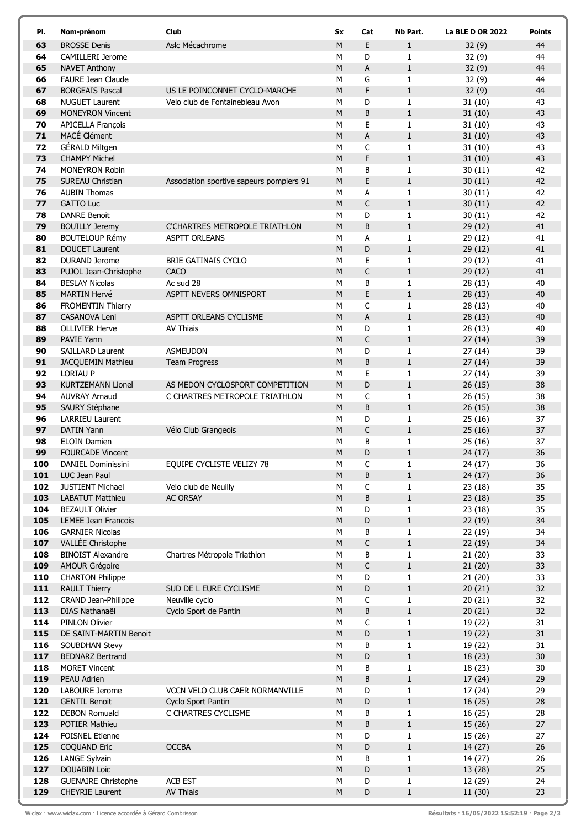| PI.        | Nom-prénom                                       | Club                                                             | Sx             | Cat         | Nb Part.                     | <b>La BLE D OR 2022</b> | Points   |
|------------|--------------------------------------------------|------------------------------------------------------------------|----------------|-------------|------------------------------|-------------------------|----------|
| 63         | <b>BROSSE Denis</b>                              | Aslc Mécachrome                                                  | M              | E           | $\mathbf{1}$                 | 32(9)                   | 44       |
| 64         | CAMILLERI Jerome                                 |                                                                  | M              | D           | $\mathbf{1}$                 | 32(9)                   | 44       |
| 65         | <b>NAVET Anthony</b>                             |                                                                  | M              | А           | $\mathbf{1}$                 | 32(9)                   | 44       |
| 66         | <b>FAURE Jean Claude</b>                         |                                                                  | M              | G           | 1                            | 32(9)                   | 44       |
| 67<br>68   | <b>BORGEAIS Pascal</b><br><b>NUGUET Laurent</b>  | US LE POINCONNET CYCLO-MARCHE<br>Velo club de Fontainebleau Avon | M<br>M         | F<br>D      | $\mathbf{1}$<br>$\mathbf{1}$ | 32(9)                   | 44<br>43 |
| 69         | <b>MONEYRON Vincent</b>                          |                                                                  | M              | B           | $\mathbf 1$                  | 31(10)<br>31(10)        | 43       |
| 70         | <b>APICELLA François</b>                         |                                                                  | M              | E           | $\mathbf{1}$                 | 31(10)                  | 43       |
| 71         | MACÉ Clément                                     |                                                                  | M              | A           | $\mathbf 1$                  | 31(10)                  | 43       |
| 72         | GÉRALD Miltgen                                   |                                                                  | M              | $\mathsf C$ | $\mathbf{1}$                 | 31(10)                  | 43       |
| 73         | <b>CHAMPY Michel</b>                             |                                                                  | M              | F           | $\mathbf{1}$                 | 31(10)                  | 43       |
| 74         | MONEYRON Robin                                   |                                                                  | M              | B           | $\mathbf{1}$                 | 30(11)                  | 42       |
| 75         | SUREAU Christian                                 | Association sportive sapeurs pompiers 91                         | M              | E           | $\mathbf{1}$                 | 30(11)                  | 42       |
| 76         | <b>AUBIN Thomas</b>                              |                                                                  | M              | А           | $\mathbf{1}$                 | 30(11)                  | 42       |
| 77         | <b>GATTO Luc</b>                                 |                                                                  | M              | C           | $1\,$                        | 30(11)                  | 42       |
| 78         | <b>DANRE Benoit</b>                              | <b>C'CHARTRES METROPOLE TRIATHLON</b>                            | M<br>M         | D           | $\mathbf{1}$<br>$\mathbf{1}$ | 30(11)                  | 42       |
| 79<br>80   | <b>BOUILLY Jeremy</b><br><b>BOUTELOUP Rémy</b>   | <b>ASPTT ORLEANS</b>                                             | М              | B<br>А      | $\mathbf{1}$                 | 29 (12)<br>29 (12)      | 41<br>41 |
| 81         | <b>DOUCET Laurent</b>                            |                                                                  | M              | D           | $\mathbf 1$                  | 29(12)                  | 41       |
| 82         | <b>DURAND Jerome</b>                             | <b>BRIE GATINAIS CYCLO</b>                                       | M              | E           | $\mathbf{1}$                 | 29 (12)                 | 41       |
| 83         | PUJOL Jean-Christophe                            | CACO                                                             | M              | $\mathsf C$ | $\mathbf 1$                  | 29(12)                  | 41       |
| 84         | <b>BESLAY Nicolas</b>                            | Ac sud 28                                                        | M              | B           | $\mathbf{1}$                 | 28(13)                  | 40       |
| 85         | <b>MARTIN Hervé</b>                              | ASPTT NEVERS OMNISPORT                                           | M              | E           | $\mathbf{1}$                 | 28(13)                  | 40       |
| 86         | <b>FROMENTIN Thierry</b>                         |                                                                  | M              | C           | $\mathbf{1}$                 | 28(13)                  | 40       |
| 87         | <b>CASANOVA Leni</b>                             | ASPTT ORLEANS CYCLISME                                           | M              | A           | $\mathbf{1}$                 | 28(13)                  | 40       |
| 88         | <b>OLLIVIER Herve</b>                            | <b>AV Thiais</b>                                                 | M              | D           | $\mathbf{1}$                 | 28(13)                  | 40       |
| 89<br>90   | PAVIE Yann<br><b>SAILLARD Laurent</b>            | <b>ASMEUDON</b>                                                  | M<br>M         | C<br>D      | $\mathbf{1}$<br>$\mathbf{1}$ | 27(14)<br>27(14)        | 39<br>39 |
| 91         | JACQUEMIN Mathieu                                | <b>Team Progress</b>                                             | M              | B           | $\mathbf{1}$                 | 27(14)                  | 39       |
| 92         | <b>LORIAU P</b>                                  |                                                                  | M              | E           | $\mathbf{1}$                 | 27(14)                  | 39       |
| 93         | <b>KURTZEMANN Lionel</b>                         | AS MEDON CYCLOSPORT COMPETITION                                  | M              | D           | $\,1\,$                      | 26(15)                  | 38       |
| 94         | <b>AUVRAY Arnaud</b>                             | C CHARTRES METROPOLE TRIATHLON                                   | M              | C           | $\mathbf{1}$                 | 26(15)                  | 38       |
| 95         | SAURY Stéphane                                   |                                                                  | M              | B           | $\,1\,$                      | 26(15)                  | 38       |
| 96         | <b>LARRIEU Laurent</b>                           |                                                                  | М              | D           | $\mathbf{1}$                 | 25(16)                  | 37       |
| 97         | <b>DATIN Yann</b>                                | Vélo Club Grangeois                                              | M              | $\mathsf C$ | $\mathbf{1}$                 | 25(16)                  | 37       |
| 98         | <b>ELOIN Damien</b>                              |                                                                  | M              | B           | $\mathbf{1}$                 | 25(16)                  | 37       |
| 99<br>100  | <b>FOURCADE Vincent</b><br>DANIEL Dominissini    |                                                                  | ${\sf M}$<br>м | D<br>C      | $\mathbf 1$<br>$\mathbf{1}$  | 24(17)                  | 36<br>36 |
| 101        | LUC Jean Paul                                    | EQUIPE CYCLISTE VELIZY 78                                        | M              | B           | $\mathbf{1}$                 | 24 (17)<br>24(17)       | 36       |
| 102        | JUSTIENT Michael                                 | Velo club de Neuilly                                             | М              | С           | 1                            | 23(18)                  | 35       |
| 103        | <b>LABATUT Matthieu</b>                          | <b>AC ORSAY</b>                                                  | M              | B           | $\mathbf{1}$                 | 23(18)                  | 35       |
| 104        | <b>BEZAULT Olivier</b>                           |                                                                  | М              | D           | 1                            | 23(18)                  | 35       |
| 105        | <b>LEMEE Jean Francois</b>                       |                                                                  | M              | D           | $\mathbf 1$                  | 22 (19)                 | 34       |
| 106        | <b>GARNIER Nicolas</b>                           |                                                                  | М              | В           | $\mathbf{1}$                 | 22 (19)                 | 34       |
| 107        | VALLÉE Christophe                                |                                                                  | ${\sf M}$      | C           | $1\,$                        | 22(19)                  | 34       |
| 108        | <b>BINOIST Alexandre</b>                         | Chartres Métropole Triathlon                                     | М              | В           | $\mathbf 1$                  | 21(20)                  | 33       |
| 109<br>110 | <b>AMOUR Grégoire</b><br><b>CHARTON Philippe</b> |                                                                  | M<br>М         | C<br>D      | $\mathbf 1$<br>$\mathbf{1}$  | 21(20)<br>21(20)        | 33<br>33 |
| 111        | <b>RAULT Thierry</b>                             | SUD DE L EURE CYCLISME                                           | ${\sf M}$      | D           | $1\,$                        | 20(21)                  | 32       |
| 112        | CRAND Jean-Philippe                              | Neuville cyclo                                                   | М              | C           | 1                            | 20(21)                  | 32       |
| 113        | DIAS Nathanaël                                   | Cyclo Sport de Pantin                                            | ${\sf M}$      | B           | $\,1\,$                      | 20(21)                  | 32       |
| 114        | PINLON Olivier                                   |                                                                  | М              | C           | $\mathbf{1}$                 | 19 (22)                 | 31       |
| 115        | DE SAINT-MARTIN Benoit                           |                                                                  | M              | D           | $\mathbf{1}$                 | 19 (22)                 | 31       |
| 116        | SOUBDHAN Stevy                                   |                                                                  | М              | В           | 1                            | 19 (22)                 | 31       |
| 117        | <b>BEDNARZ Bertrand</b>                          |                                                                  | ${\sf M}$      | D           | $\mathbf 1$                  | 18 (23)                 | 30       |
| 118        | <b>MORET Vincent</b>                             |                                                                  | М              | В           | 1                            | 18 (23)                 | 30       |
| 119<br>120 | PEAU Adrien<br>LABOURE Jerome                    | VCCN VELO CLUB CAER NORMANVILLE                                  | ${\sf M}$<br>М | B<br>D      | $1\,$<br>$\mathbf{1}$        | 17 (24)<br>17 (24)      | 29<br>29 |
| 121        | <b>GENTIL Benoit</b>                             | Cyclo Sport Pantin                                               | M              | D           | $1\,$                        | 16(25)                  | 28       |
| 122        | <b>DEBON Romuald</b>                             | C CHARTRES CYCLISME                                              | М              | В           | $\mathbf{1}$                 | 16(25)                  | 28       |
| 123        | POTIER Mathieu                                   |                                                                  | M              | В           | $\mathbf 1$                  | 15 (26)                 | 27       |
| 124        | <b>FOISNEL Etienne</b>                           |                                                                  | М              | D           | 1                            | 15 (26)                 | 27       |
| 125        | <b>COQUAND Eric</b>                              | <b>OCCBA</b>                                                     | ${\sf M}$      | D           | $1\,$                        | 14(27)                  | $26\,$   |
| 126        | LANGE Sylvain                                    |                                                                  | М              | В           | $\mathbf{1}$                 | 14 (27)                 | 26       |
| 127        | <b>DOUABIN Loic</b>                              |                                                                  | M              | D           | $\mathbf{1}$                 | 13 (28)                 | 25       |
| 128        | <b>GUENAIRE Christophe</b>                       | <b>ACB EST</b>                                                   | М              | D           | 1                            | 12 (29)                 | 24       |
| 129        | <b>CHEYRIE Laurent</b>                           | AV Thiais                                                        | ${\sf M}$      | D           | $\,1\,$                      | 11 (30)                 | 23       |